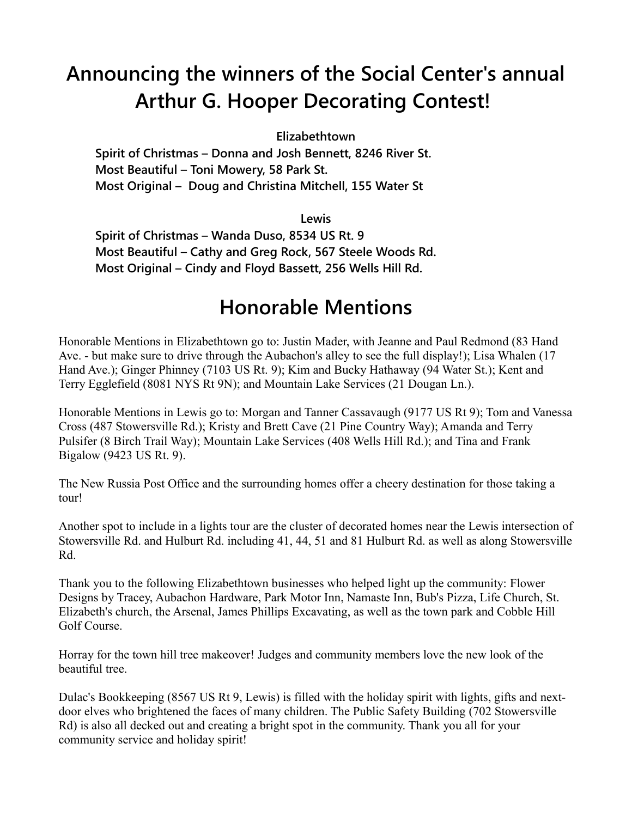## **Announcing the winners of the Social Center's annual Arthur G. Hooper Decorating Contest!**

**Elizabethtown**

**Spirit of Christmas – Donna and Josh Bennett, 8246 River St. Most Beautiful – Toni Mowery, 58 Park St. Most Original – Doug and Christina Mitchell, 155 Water St**

**Lewis**

**Spirit of Christmas – Wanda Duso, 8534 US Rt. 9 Most Beautiful – Cathy and Greg Rock, 567 Steele Woods Rd. Most Original – Cindy and Floyd Bassett, 256 Wells Hill Rd.**

## **Honorable Mentions**

Honorable Mentions in Elizabethtown go to: Justin Mader, with Jeanne and Paul Redmond (83 Hand Ave. - but make sure to drive through the Aubachon's alley to see the full display!); Lisa Whalen (17 Hand Ave.); Ginger Phinney (7103 US Rt. 9); Kim and Bucky Hathaway (94 Water St.); Kent and Terry Egglefield (8081 NYS Rt 9N); and Mountain Lake Services (21 Dougan Ln.).

Honorable Mentions in Lewis go to: Morgan and Tanner Cassavaugh (9177 US Rt 9); Tom and Vanessa Cross (487 Stowersville Rd.); Kristy and Brett Cave (21 Pine Country Way); Amanda and Terry Pulsifer (8 Birch Trail Way); Mountain Lake Services (408 Wells Hill Rd.); and Tina and Frank Bigalow (9423 US Rt. 9).

The New Russia Post Office and the surrounding homes offer a cheery destination for those taking a tour!

Another spot to include in a lights tour are the cluster of decorated homes near the Lewis intersection of Stowersville Rd. and Hulburt Rd. including 41, 44, 51 and 81 Hulburt Rd. as well as along Stowersville Rd.

Thank you to the following Elizabethtown businesses who helped light up the community: Flower Designs by Tracey, Aubachon Hardware, Park Motor Inn, Namaste Inn, Bub's Pizza, Life Church, St. Elizabeth's church, the Arsenal, James Phillips Excavating, as well as the town park and Cobble Hill Golf Course.

Horray for the town hill tree makeover! Judges and community members love the new look of the beautiful tree.

Dulac's Bookkeeping (8567 US Rt 9, Lewis) is filled with the holiday spirit with lights, gifts and nextdoor elves who brightened the faces of many children. The Public Safety Building (702 Stowersville Rd) is also all decked out and creating a bright spot in the community. Thank you all for your community service and holiday spirit!